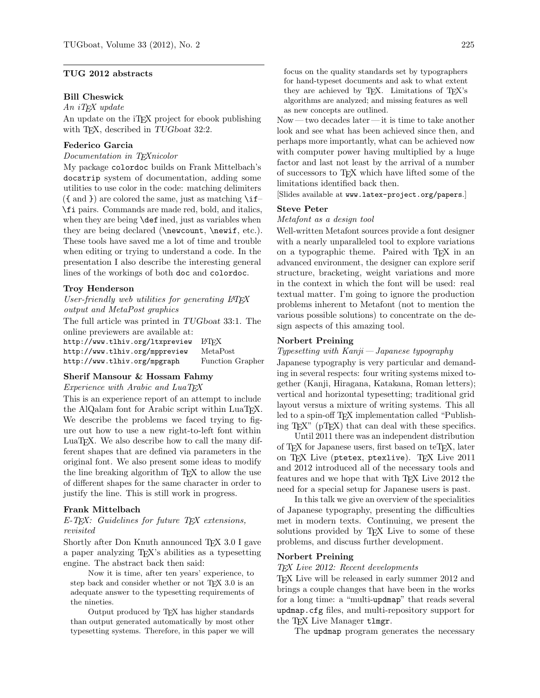# TUG 2012 abstracts

# Bill Cheswick

 $An$  iT<sub>F</sub>X update

An update on the iT<sub>E</sub>X project for ebook publishing with T<sub>F</sub>X, described in TUGboat 32:2.

# Federico Garcia

Documentation in TEXnicolor

My package colordoc builds on Frank Mittelbach's docstrip system of documentation, adding some utilities to use color in the code: matching delimiters  $($ { and }) are colored the same, just as matching \if– \fi pairs. Commands are made red, bold, and italics, when they are being **\def** ined, just as variables when they are being declared (\newcount, \newif, etc.). These tools have saved me a lot of time and trouble when editing or trying to understand a code. In the presentation I also describe the interesting general lines of the workings of both doc and colordoc.

#### Troy Henderson

User-friendly web utilities for generating LATFX output and MetaPost graphics

The full article was printed in TUGboat 33:1. The online previewers are available at:

| http://www.tlhiv.org/ltxpreview | LATEX                   |
|---------------------------------|-------------------------|
| http://www.tlhiv.org/mppreview  | MetaPost                |
| http://www.tlhiv.org/mpgraph    | <b>Function Grapher</b> |

# Sherif Mansour & Hossam Fahmy

Experience with Arabic and LuaTFX

This is an experience report of an attempt to include the AlQalam font for Arabic script within LuaT<sub>EX</sub>. We describe the problems we faced trying to figure out how to use a new right-to-left font within LuaT<sub>EX</sub>. We also describe how to call the many different shapes that are defined via parameters in the original font. We also present some ideas to modify the line breaking algorithm of TEX to allow the use of different shapes for the same character in order to justify the line. This is still work in progress.

#### Frank Mittelbach

E-T<sub>E</sub>X: Guidelines for future T<sub>E</sub>X extensions, revisited

Shortly after Don Knuth announced TEX 3.0 I gave a paper analyzing TEX's abilities as a typesetting engine. The abstract back then said:

Now it is time, after ten years' experience, to step back and consider whether or not T<sub>E</sub>X 3.0 is an adequate answer to the typesetting requirements of the nineties.

Output produced by TEX has higher standards than output generated automatically by most other typesetting systems. Therefore, in this paper we will

focus on the quality standards set by typographers for hand-typeset documents and ask to what extent they are achieved by T<sub>E</sub>X. Limitations of T<sub>E</sub>X's algorithms are analyzed; and missing features as well as new concepts are outlined.

Now — two decades later — it is time to take another look and see what has been achieved since then, and perhaps more importantly, what can be achieved now with computer power having multiplied by a huge factor and last not least by the arrival of a number of successors to TEX which have lifted some of the limitations identified back then.

[Slides available at www.latex-project.org/papers.]

#### Steve Peter

# Metafont as a design tool

Well-written Metafont sources provide a font designer with a nearly unparalleled tool to explore variations on a typographic theme. Paired with TEX in an advanced environment, the designer can explore serif structure, bracketing, weight variations and more in the context in which the font will be used: real textual matter. I'm going to ignore the production problems inherent to Metafont (not to mention the various possible solutions) to concentrate on the design aspects of this amazing tool.

#### Norbert Preining

Typesetting with Kanji— Japanese typography

Japanese typography is very particular and demanding in several respects: four writing systems mixed together (Kanji, Hiragana, Katakana, Roman letters); vertical and horizontal typesetting; traditional grid layout versus a mixture of writing systems. This all led to a spin-off TEX implementation called "Publishing TEX" (pTEX) that can deal with these specifics.

Until 2011 there was an independent distribution of T<sub>E</sub>X for Japanese users, first based on teT<sub>E</sub>X, later on TFX Live (ptetex, ptexlive). TFX Live 2011 and 2012 introduced all of the necessary tools and features and we hope that with TEX Live 2012 the need for a special setup for Japanese users is past.

In this talk we give an overview of the specialities of Japanese typography, presenting the difficulties met in modern texts. Continuing, we present the solutions provided by T<sub>EX</sub> Live to some of these problems, and discuss further development.

#### Norbert Preining

TEX Live 2012: Recent developments

TEX Live will be released in early summer 2012 and brings a couple changes that have been in the works for a long time: a "multi-updmap" that reads several updmap.cfg files, and multi-repository support for the T<sub>F</sub>X Live Manager tlmgr.

The updmap program generates the necessary